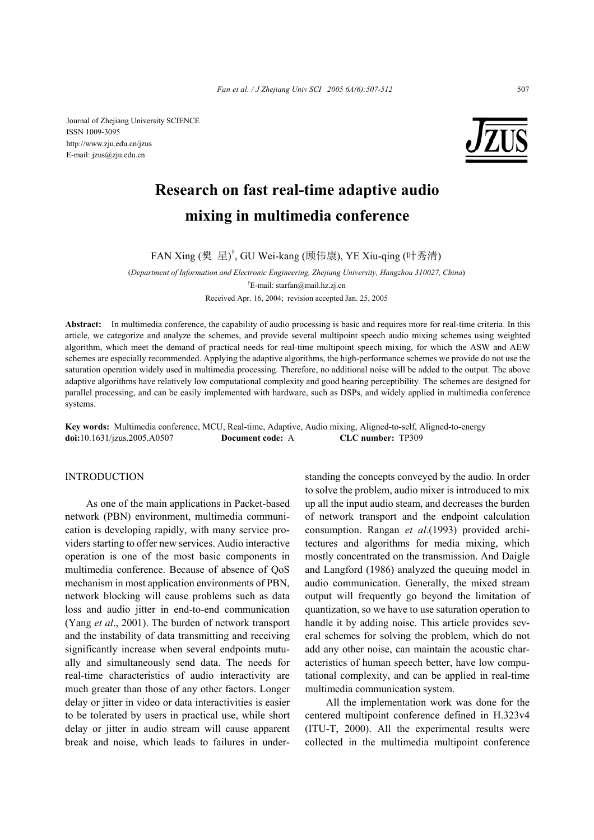

# **Research on fast real-time adaptive audio mixing in multimedia conference**

FAN Xing (樊 星) † , GU Wei-kang (顾伟康), YE Xiu-qing (叶秀清)

(*Department of Information and Electronic Engineering, Zhejiang University, Hangzhou 310027, China*) † E-mail: starfan@mail.hz.zj.cn Received Apr. 16, 2004; revision accepted Jan. 25, 2005

**Abstract:** In multimedia conference, the capability of audio processing is basic and requires more for real-time criteria. In this article, we categorize and analyze the schemes, and provide several multipoint speech audio mixing schemes using weighted algorithm, which meet the demand of practical needs for real-time multipoint speech mixing, for which the ASW and AEW schemes are especially recommended. Applying the adaptive algorithms, the high-performance schemes we provide do not use the saturation operation widely used in multimedia processing. Therefore, no additional noise will be added to the output. The above adaptive algorithms have relatively low computational complexity and good hearing perceptibility. The schemes are designed for parallel processing, and can be easily implemented with hardware, such as DSPs, and widely applied in multimedia conference systems.

**Key words:** Multimedia conference, MCU, Real-time, Adaptive, Audio mixing, Aligned-to-self, Aligned-to-energy **doi:**10.1631/jzus.2005.A0507 **Document code:** A **CLC number:** TP309

## **INTRODUCTION**

As one of the main applications in Packet-based network (PBN) environment, multimedia communication is developing rapidly, with many service providers starting to offer new services. Audio interactive operation is one of the most basic components in multimedia conference. Because of absence of QoS mechanism in most application environments of PBN, network blocking will cause problems such as data loss and audio jitter in end-to-end communication (Yang *et al*., 2001). The burden of network transport and the instability of data transmitting and receiving significantly increase when several endpoints mutually and simultaneously send data. The needs for real-time characteristics of audio interactivity are much greater than those of any other factors. Longer delay or jitter in video or data interactivities is easier to be tolerated by users in practical use, while short delay or jitter in audio stream will cause apparent break and noise, which leads to failures in understanding the concepts conveyed by the audio. In order to solve the problem, audio mixer is introduced to mix up all the input audio steam, and decreases the burden of network transport and the endpoint calculation consumption. Rangan *et al*.(1993) provided architectures and algorithms for media mixing, which mostly concentrated on the transmission. And Daigle and Langford (1986) analyzed the queuing model in audio communication. Generally, the mixed stream output will frequently go beyond the limitation of quantization, so we have to use saturation operation to handle it by adding noise. This article provides several schemes for solving the problem, which do not add any other noise, can maintain the acoustic characteristics of human speech better, have low computational complexity, and can be applied in real-time multimedia communication system.

All the implementation work was done for the centered multipoint conference defined in H.323v4 (ITU-T, 2000). All the experimental results were collected in the multimedia multipoint conference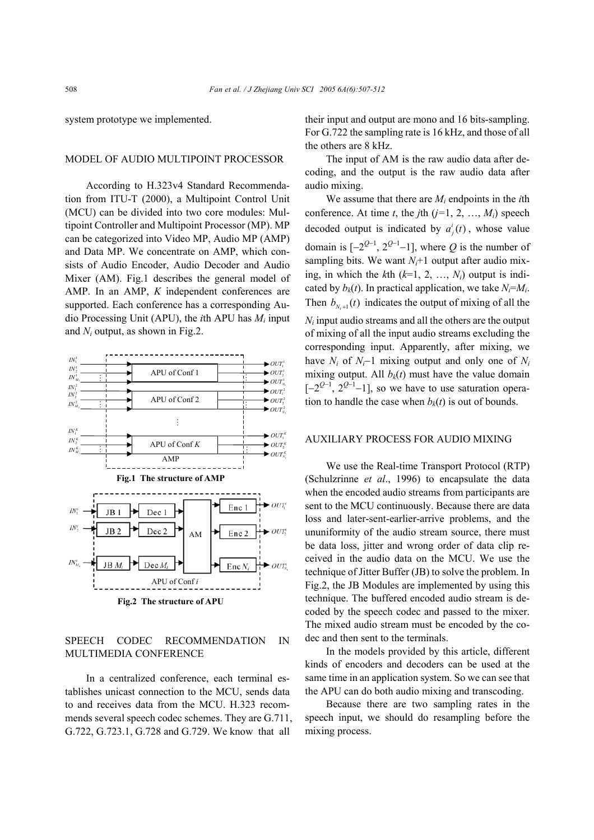system prototype we implemented.

### MODEL OF AUDIO MULTIPOINT PROCESSOR

According to H.323v4 Standard Recommendation from ITU-T (2000), a Multipoint Control Unit (MCU) can be divided into two core modules: Multipoint Controller and Multipoint Processor (MP). MP can be categorized into Video MP, Audio MP (AMP) and Data MP. We concentrate on AMP, which consists of Audio Encoder, Audio Decoder and Audio Mixer (AM). Fig.1 describes the general model of AMP. In an AMP, *K* independent conferences are supported. Each conference has a corresponding Audio Processing Unit (APU), the *i*th APU has *Mi* input and *Ni* output, as shown in Fig.2.



## SPEECH CODEC RECOMMENDATION IN MULTIMEDIA CONFERENCE

In a centralized conference, each terminal establishes unicast connection to the MCU, sends data to and receives data from the MCU. H.323 recommends several speech codec schemes. They are G.711, G.722, G.723.1, G.728 and G.729. We know that all

their input and output are mono and 16 bits-sampling. For G.722 the sampling rate is 16 kHz, and those of all the others are 8 kHz.

The input of AM is the raw audio data after decoding, and the output is the raw audio data after audio mixing.

We assume that there are *Mi* endpoints in the *i*th conference. At time *t*, the *j*th  $(j=1, 2, ..., M_i)$  speech decoded output is indicated by  $a_j^i(t)$ , whose value domain is  $[-2^{Q-1}, 2^{Q-1}-1]$ , where *Q* is the number of sampling bits. We want  $N_i+1$  output after audio mixing, in which the  $k$ th  $(k=1, 2, ..., N_i)$  output is indicated by  $b_k(t)$ . In practical application, we take  $N_i = M_i$ . Then  $b_{N+1}(t)$  indicates the output of mixing of all the *Ni* input audio streams and all the others are the output of mixing of all the input audio streams excluding the corresponding input. Apparently, after mixing, we have  $N_i$  of  $N_i$ <sup>−1</sup> mixing output and only one of  $N_i$ mixing output. All  $b_k(t)$  must have the value domain  $[-2^{Q-1}, 2^{Q-1}-1]$ , so we have to use saturation operation to handle the case when  $b_k(t)$  is out of bounds.

#### AUXILIARY PROCESS FOR AUDIO MIXING

We use the Real-time Transport Protocol (RTP) (Schulzrinne *et al*., 1996) to encapsulate the data when the encoded audio streams from participants are sent to the MCU continuously. Because there are data loss and later-sent-earlier-arrive problems, and the ununiformity of the audio stream source, there must be data loss, jitter and wrong order of data clip received in the audio data on the MCU. We use the technique of Jitter Buffer (JB) to solve the problem. In Fig.2, the JB Modules are implemented by using this technique. The buffered encoded audio stream is decoded by the speech codec and passed to the mixer. The mixed audio stream must be encoded by the codec and then sent to the terminals.

In the models provided by this article, different kinds of encoders and decoders can be used at the same time in an application system. So we can see that the APU can do both audio mixing and transcoding.

Because there are two sampling rates in the speech input, we should do resampling before the mixing process.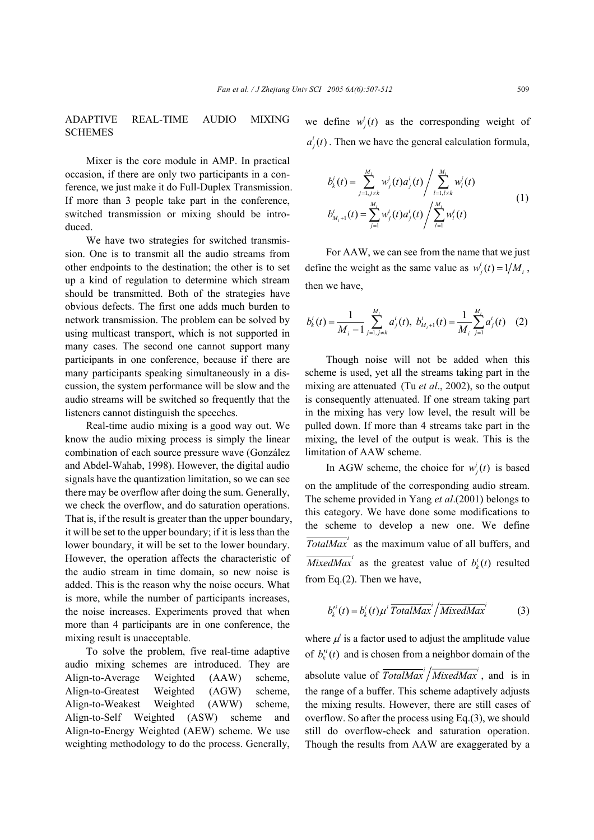## ADAPTIVE REAL-TIME AUDIO MIXING **SCHEMES**

Mixer is the core module in AMP. In practical occasion, if there are only two participants in a conference, we just make it do Full-Duplex Transmission. If more than 3 people take part in the conference, switched transmission or mixing should be introduced.

We have two strategies for switched transmission. One is to transmit all the audio streams from other endpoints to the destination; the other is to set up a kind of regulation to determine which stream should be transmitted. Both of the strategies have obvious defects. The first one adds much burden to network transmission. The problem can be solved by using multicast transport, which is not supported in many cases. The second one cannot support many participants in one conference, because if there are many participants speaking simultaneously in a discussion, the system performance will be slow and the audio streams will be switched so frequently that the listeners cannot distinguish the speeches.

Real-time audio mixing is a good way out. We know the audio mixing process is simply the linear combination of each source pressure wave (González and Abdel-Wahab, 1998). However, the digital audio signals have the quantization limitation, so we can see there may be overflow after doing the sum. Generally, we check the overflow, and do saturation operations. That is, if the result is greater than the upper boundary, it will be set to the upper boundary; if it is less than the lower boundary, it will be set to the lower boundary. However, the operation affects the characteristic of the audio stream in time domain, so new noise is added. This is the reason why the noise occurs. What is more, while the number of participants increases, the noise increases. Experiments proved that when more than 4 participants are in one conference, the mixing result is unacceptable.

To solve the problem, five real-time adaptive audio mixing schemes are introduced. They are Align-to-Average Weighted (AAW) scheme, Align-to-Greatest Weighted (AGW) scheme, Align-to-Weakest Weighted (AWW) scheme, Align-to-Self Weighted (ASW) scheme and Align-to-Energy Weighted (AEW) scheme. We use weighting methodology to do the process. Generally,

we define  $w_i^i(t)$  as the corresponding weight of  $a_j^i(t)$ . Then we have the general calculation formula,

$$
b_k^i(t) = \sum_{j=1, j\neq k}^{M_i} w_j^i(t) a_j^i(t) / \sum_{l=1, l\neq k}^{M_i} w_l^i(t)
$$
  

$$
b_{M_i+1}^i(t) = \sum_{j=1}^{M_i} w_j^i(t) a_j^i(t) / \sum_{l=1}^{M_i} w_l^i(t)
$$
 (1)

For AAW, we can see from the name that we just define the weight as the same value as  $w_i^i(t) = 1/M_i$ , then we have,

$$
b_{k}^{i}(t) = \frac{1}{M_{i}-1} \sum_{j=1, j \neq k}^{M_{i}} a_{j}^{i}(t), b_{M_{i}+1}^{i}(t) = \frac{1}{M_{i}} \sum_{j=1}^{M_{i}} a_{j}^{i}(t) \quad (2)
$$

Though noise will not be added when this scheme is used, yet all the streams taking part in the mixing are attenuated (Tu *et al*., 2002), so the output is consequently attenuated. If one stream taking part in the mixing has very low level, the result will be pulled down. If more than 4 streams take part in the mixing, the level of the output is weak. This is the limitation of AAW scheme.

In AGW scheme, the choice for  $w_i^i(t)$  is based on the amplitude of the corresponding audio stream. The scheme provided in Yang *et al*.(2001) belongs to this category. We have done some modifications to the scheme to develop a new one. We define  $\overline{TotalMax}$ <sup>*i*</sup> as the maximum value of all buffers, and *MixedMax*<sup>*i*</sup> as the greatest value of  $b_k^i(t)$  resulted from Eq.(2). Then we have,

$$
b_k^{i}(t) = b_k^{i}(t)\mu^{i} \overline{TotalMax}^{i} / \overline{MixedMax}^{i}
$$
 (3)

where  $\mu^i$  is a factor used to adjust the amplitude value of  $b_k^{\prime\prime}(t)$  and is chosen from a neighbor domain of the absolute value of  $\overline{TotalMax}^i / \overline{MixedMax}^i$ , and is in the range of a buffer. This scheme adaptively adjusts the mixing results. However, there are still cases of overflow. So after the process using Eq.(3), we should still do overflow-check and saturation operation. Though the results from AAW are exaggerated by a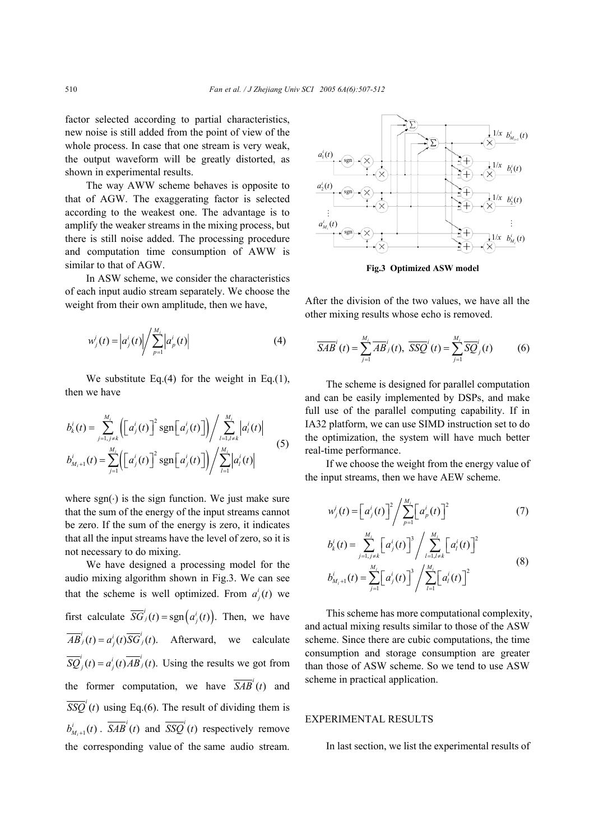factor selected according to partial characteristics, new noise is still added from the point of view of the whole process. In case that one stream is very weak, the output waveform will be greatly distorted, as shown in experimental results.

The way AWW scheme behaves is opposite to that of AGW. The exaggerating factor is selected according to the weakest one. The advantage is to amplify the weaker streams in the mixing process, but there is still noise added. The processing procedure and computation time consumption of AWW is similar to that of AGW.

In ASW scheme, we consider the characteristics of each input audio stream separately. We choose the weight from their own amplitude, then we have,

$$
w_j^i(t) = \left| a_j^i(t) \right| \left/ \sum_{p=1}^{M_i} \left| a_p^i(t) \right| \tag{4}
$$

We substitute Eq.(4) for the weight in Eq.(1), then we have

$$
b_{k}^{i}(t) = \sum_{j=1, j \neq k}^{M_{i}} \left( \left[ a_{j}^{i}(t) \right]^{2} \text{sgn} \left[ a_{j}^{i}(t) \right] \right) / \sum_{l=1, l \neq k}^{M_{i}} \left| a_{l}^{i}(t) \right|
$$
  
\n
$$
b_{M_{i}+1}^{i}(t) = \sum_{j=1}^{M_{i}} \left( \left[ a_{j}^{i}(t) \right]^{2} \text{sgn} \left[ a_{j}^{i}(t) \right] \right) / \sum_{l=1}^{M_{i}} \left| a_{l}^{i}(t) \right|
$$
\n(5)

where  $sgn(\cdot)$  is the sign function. We just make sure that the sum of the energy of the input streams cannot be zero. If the sum of the energy is zero, it indicates that all the input streams have the level of zero, so it is not necessary to do mixing.

We have designed a processing model for the audio mixing algorithm shown in Fig.3. We can see that the scheme is well optimized. From  $a^i_j(t)$  we first calculate  $\overline{SG}'_i(t) = \text{sgn} (a^i_i(t))$ . Then, we have  $\overline{AB}^i_j(t) = a^i_j(t) \overline{SG}^i_j(t)$ . Afterward, we calculate  $\overline{SO}_{j}^{i}(t) = a_{j}^{i}(t) \overline{AB}_{j}^{i}(t)$ . Using the results we got from the former computation, we have  $\overline{SAB}^i(t)$  and  $\overline{SSQ}^{i}(t)$  using Eq.(6). The result of dividing them is  $b_{M_t+1}^i(t)$ .  $\overline{SAB}^i(t)$  and  $\overline{SSQ}^i(t)$  respectively remove the corresponding value of the same audio stream.



 **Fig.3 Optimized ASW model**

After the division of the two values, we have all the other mixing results whose echo is removed.

$$
\overline{SAB}^{i}(t) = \sum_{j=1}^{M_{i}} \overline{AB}^{i}_{j}(t), \ \overline{SSQ}^{i}(t) = \sum_{j=1}^{M_{i}} \overline{SQ}^{i}_{j}(t) \tag{6}
$$

The scheme is designed for parallel computation and can be easily implemented by DSPs, and make full use of the parallel computing capability. If in IA32 platform, we can use SIMD instruction set to do the optimization, the system will have much better real-time performance.

If we choose the weight from the energy value of the input streams, then we have AEW scheme.

$$
w_j^i(t) = \left[a_j^i(t)\right]^2 / \sum_{p=1}^{M_i} \left[a_p^i(t)\right]^2 \tag{7}
$$

$$
b_{k}^{i}(t) = \sum_{j=1, j \neq k}^{M_{i}} \left[ a_{j}^{i}(t) \right]^{3} / \sum_{l=1, l \neq k}^{M_{i}} \left[ a_{l}^{i}(t) \right]^{2}
$$
  
\n
$$
b_{M_{i}+1}^{i}(t) = \sum_{j=1}^{M_{i}} \left[ a_{j}^{i}(t) \right]^{3} / \sum_{l=1}^{M_{i}} \left[ a_{l}^{i}(t) \right]^{2}
$$
\n(8)

This scheme has more computational complexity, and actual mixing results similar to those of the ASW scheme. Since there are cubic computations, the time consumption and storage consumption are greater than those of ASW scheme. So we tend to use ASW scheme in practical application.

#### EXPERIMENTAL RESULTS

In last section, we list the experimental results of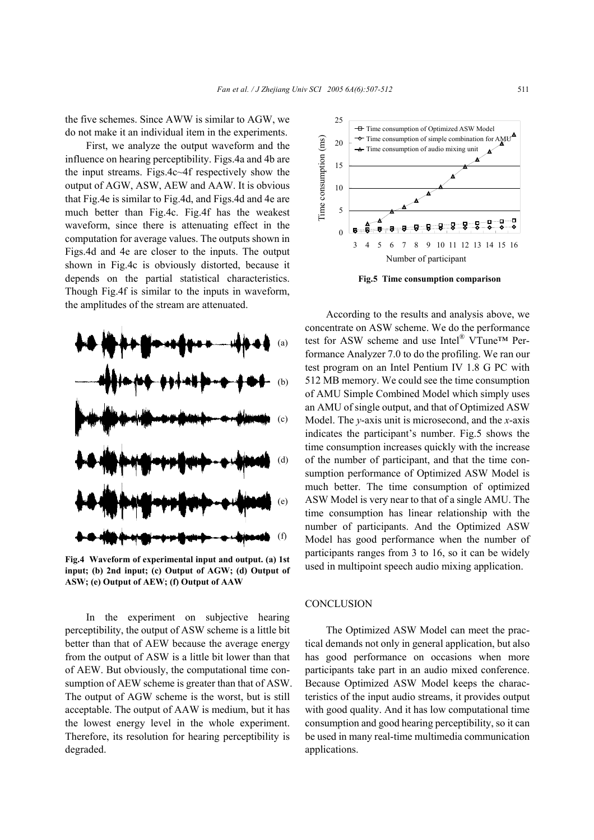the five schemes. Since AWW is similar to AGW, we do not make it an individual item in the experiments.

First, we analyze the output waveform and the influence on hearing perceptibility. Figs.4a and 4b are the input streams. Figs.4c~4f respectively show the output of AGW, ASW, AEW and AAW. It is obvious that Fig.4e is similar to Fig.4d, and Figs.4d and 4e are much better than Fig.4c. Fig.4f has the weakest waveform, since there is attenuating effect in the computation for average values. The outputs shown in Figs.4d and 4e are closer to the inputs. The output shown in Fig.4c is obviously distorted, because it depends on the partial statistical characteristics. Though Fig.4f is similar to the inputs in waveform, the amplitudes of the stream are attenuated.



**Fig.4 Waveform of experimental input and output. (a) 1st input; (b) 2nd input; (c) Output of AGW; (d) Output of ASW; (e) Output of AEW; (f) Output of AAW** 

In the experiment on subjective hearing perceptibility, the output of ASW scheme is a little bit better than that of AEW because the average energy from the output of ASW is a little bit lower than that of AEW. But obviously, the computational time consumption of AEW scheme is greater than that of ASW. The output of AGW scheme is the worst, but is still acceptable. The output of AAW is medium, but it has the lowest energy level in the whole experiment. Therefore, its resolution for hearing perceptibility is degraded.



**Fig.5 Time consumption comparison**

According to the results and analysis above, we concentrate on ASW scheme. We do the performance test for ASW scheme and use Intel<sup>®</sup> VTune<sup>™</sup> Performance Analyzer 7.0 to do the profiling. We ran our test program on an Intel Pentium IV 1.8 G PC with 512 MB memory. We could see the time consumption of AMU Simple Combined Model which simply uses an AMU of single output, and that of Optimized ASW Model. The *y*-axis unit is microsecond, and the *x*-axis indicates the participant's number. Fig.5 shows the time consumption increases quickly with the increase of the number of participant, and that the time consumption performance of Optimized ASW Model is much better. The time consumption of optimized ASW Model is very near to that of a single AMU. The time consumption has linear relationship with the number of participants. And the Optimized ASW Model has good performance when the number of participants ranges from 3 to 16, so it can be widely used in multipoint speech audio mixing application.

#### **CONCLUSION**

The Optimized ASW Model can meet the practical demands not only in general application, but also has good performance on occasions when more participants take part in an audio mixed conference. Because Optimized ASW Model keeps the characteristics of the input audio streams, it provides output with good quality. And it has low computational time consumption and good hearing perceptibility, so it can be used in many real-time multimedia communication applications.